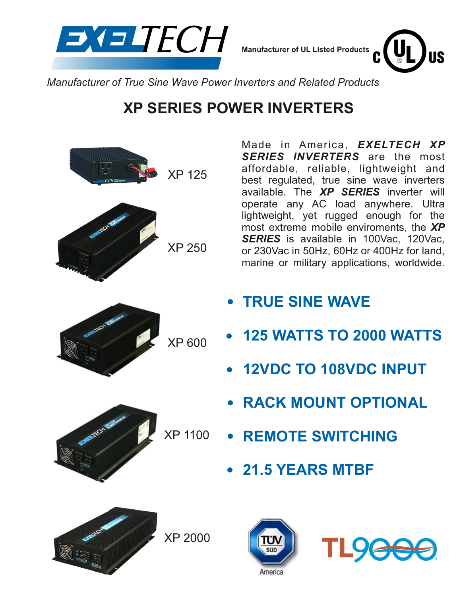

**Manufacturer of UL Listed Products**



*Manufacturer of True Sine Wave Power Inverters and Related Products*

# **XP SERIES POWER INVERTERS**



Made in America, *EXELTECH XP SERIES INVERTERS* are the most affordable, reliable, lightweight and best regulated, true sine wave inverters available. The *XP SERIES* inverter will operate any AC load anywhere. Ultra lightweight, yet rugged enough for the most extreme mobile enviroments, the *XP* **SERIES** is available in 100Vac, 120Vac, or 230Vac in 50Hz, 60Hz or 400Hz for land, marine or military applications, worldwide.

- **TRUE SINE WAVE**
- **125 WATTS TO 2000 WATTS**
- **12VDC TO 108VDC INPUT**
- **RACK MOUNT OPTIONAL**
- **REMOTE SWITCHING**
	- **21.5 YEARS MTBF**



XP 2000



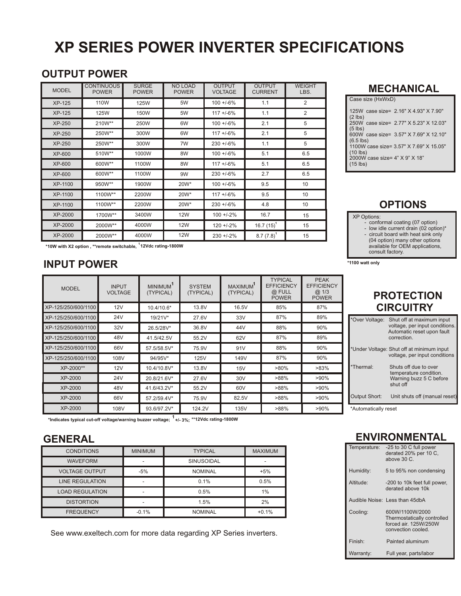# **XP SERIES POWER INVERTER SPECIFICATIONS**

## **OUTPUT POWER**

| <b>MODEL</b>  | <b>CONTINUOUS</b><br><b>POWER</b> | <b>SURGE</b><br><b>POWER</b> | <b>NO LOAD</b><br><b>POWER</b> | <b>OUTPUT</b><br><b>VOLTAGE</b> | <b>OUTPUT</b><br><b>CURRENT</b> | <b>WEIGHT</b><br>LBS. |
|---------------|-----------------------------------|------------------------------|--------------------------------|---------------------------------|---------------------------------|-----------------------|
| <b>XP-125</b> | 110W                              | 125W                         | 5W                             | $100 + 6\%$                     | 1.1                             | 2                     |
| <b>XP-125</b> | 125W                              | 150W                         | 5W                             | $117 + 6\%$                     | 1.1                             | 2                     |
| XP-250        | 210W**                            | 250W                         | 6W                             | $100 + 6\%$                     | 2.1                             | 5                     |
| <b>XP-250</b> | 250W**                            | 300W                         | 6W                             | $117 + 6\%$                     | 2.1                             | 5                     |
| XP-250        | 250W**                            | 300W                         | 7W                             | $230 + 6\%$                     | 1.1                             | 5                     |
| XP-600        | 510W**                            | 1000W                        | 8W                             | $100 + 6\%$                     | 5.1                             | 6.5                   |
| XP-600        | 600W**                            | 1100W                        | 8W                             | $117 + 6\%$                     | 5.1                             | 6.5                   |
| XP-600        | 600W**                            | 1100W                        | 9W                             | $230 + 6\%$                     | 2.7                             | 6.5                   |
| XP-1100       | 950W**                            | 1900W                        | 20W*                           | $100 + 6\%$                     | 9.5                             | 10                    |
| XP-1100       | 1100W**                           | 2200W                        | 20W*                           | $117 + 6\%$                     | 9.5                             | 10                    |
| XP-1100       | 1100W**                           | 2200W                        | 20W*                           | $230 + 6\%$                     | 4.8                             | 10                    |
| XP-2000       | 1700W**                           | 3400W                        | <b>12W</b>                     | $100 + 2\%$                     | 16.7                            | 15                    |
| XP-2000       | 2000W**                           | 4000W                        | <b>12W</b>                     | $120 + 2%$                      | $16.7(15)$ <sup>1</sup>         | 15                    |
| XP-2000       | 2000W**                           | 4000W                        | 12W                            | $230 + 2\%$                     | $8.7(7.8)^{1}$                  | 15                    |

**\*10W with X2 option , \*\*remote switchable, 12Vdc rating-1800W <sup>1</sup>**

## **INPUT POWER**

| <b>MODEL</b>        | <b>INPUT</b><br><b>VOLTAGE</b> | MINIMUM <sup>1</sup><br>(TYPICAL) | <b>SYSTEM</b><br>(TYPICAL) | <b>MAXIMUM</b><br>(TYPICAL) | <b>TYPICAL</b><br><b>EFFICIENCY</b><br>@ FULL<br><b>POWER</b> | <b>PEAK</b><br><b>EFFICIENCY</b><br>@1/3<br><b>POWER</b> |
|---------------------|--------------------------------|-----------------------------------|----------------------------|-----------------------------|---------------------------------------------------------------|----------------------------------------------------------|
| XP-125/250/600/1100 | 12V                            | 10.4/10.6*                        | 13.8V                      | 16.5V                       | 85%                                                           | 87%                                                      |
| XP-125/250/600/1100 | 24V                            | 19/21V*                           | 27.6V                      | 33V                         | 87%                                                           | 89%                                                      |
| XP-125/250/600/1100 | 32V                            | 26.5/28V*                         | 36.8V                      | 44 <sub>V</sub>             | 88%                                                           | 90%                                                      |
| XP-125/250/600/1100 | 48V                            | 41.5/42.5V                        | 55.2V                      | 62V                         | 87%                                                           | 89%                                                      |
| XP-125/250/600/1100 | 66V                            | 57.5/58.5V*                       | 75.9V                      | 91V                         | 88%                                                           | 90%                                                      |
| XP-125/250/600/1100 | 108V                           | 94/95V*                           | 125V                       | 149V                        | 87%                                                           | 90%                                                      |
| XP-2000**           | 12V                            | 10.4/10.8V*                       | 13.8V                      | 15V                         | $>80\%$                                                       | $>83\%$                                                  |
| XP-2000             | 24V                            | 20.8/21.6V*                       | 27.6V                      | 30 <sub>V</sub>             | >88%                                                          | $>90\%$                                                  |
| <b>XP-2000</b>      | 48V                            | 41.6/43.2V*                       | 55.2V                      | 60V                         | >88%                                                          | $>90\%$                                                  |
| XP-2000             | 66V                            | 57.2/59.4V*                       | 75.9V                      | 82.5V                       | >88%                                                          | $>90\%$                                                  |
| XP-2000             | 108V                           | 93.6/97.2V*                       | 124.2V                     | 135V                        | >88%                                                          | >90%                                                     |

**\*Indicates typical cut-off voltage/warning buzzer voltage; +/- 3%; <sup>1</sup> \*\*12Vdc rating-1800W**

## **GENERAL**

| <b>CONDITIONS</b>      | <b>MINIMUM</b> | <b>TYPICAL</b>    | <b>MAXIMUM</b> |
|------------------------|----------------|-------------------|----------------|
| <b>WAVEFORM</b>        |                | <b>SINUSOIDAL</b> |                |
| <b>VOLTAGE OUTPUT</b>  | $-5%$          | <b>NOMINAL</b>    | $+5%$          |
| <b>LINE REGULATION</b> |                | 0.1%              | 0.5%           |
| <b>LOAD REGULATION</b> |                | 0.5%              | 1%             |
| <b>DISTORTION</b>      |                | 1.5%              | 2%             |
| <b>FREQUENCY</b>       | $-0.1%$        | <b>NOMINAL</b>    | $+0.1%$        |

See www.exeltech.com for more data regarding XP Series inverters.

#### **MECHANICAL**

# **OPTIONS**

#### XP Options:

- conformal coating (07 option) low idle current drain (02 option)\*
	- circuit board with heat sink only
- (04 option) many other options available for OEM applications,
	- consult factory.

**\*1100 watt only**

# **PROTECTION CIRCUITRY**

| *Over Voltage: | Shut off at maximum input<br>voltage, per input conditions.<br>Automatic reset upon fault<br>correction. |
|----------------|----------------------------------------------------------------------------------------------------------|
|                | *Under Voltage: Shut off at minimum input<br>voltage, per input conditions                               |
| *Thermal:      | Shuts off due to over<br>temperature condition.<br>Warning buzz 5 C before<br>shut off                   |
| Output Short:  | Unit shuts off (manual reset)                                                                            |

\*Automatically reset

## **ENVIRONMENTAL**

| Temperature:        | -25 to 30 C full power<br>derated 20% per 10 C.<br>above $30C$                               |
|---------------------|----------------------------------------------------------------------------------------------|
| Humidity:           | 5 to 95% non condensing                                                                      |
| Altitude:           | -200 to 10k feet full power,<br>derated above 10k                                            |
|                     | Audible Noise: Less than 45dbA                                                               |
| Cooling:            | 600W/1100W/2000<br>Thermostatically controlled<br>forced air. 125W/250W<br>convection cooled |
| Finish <sup>-</sup> | Painted aluminum                                                                             |
| Warranty:           | Full year, parts/labor                                                                       |